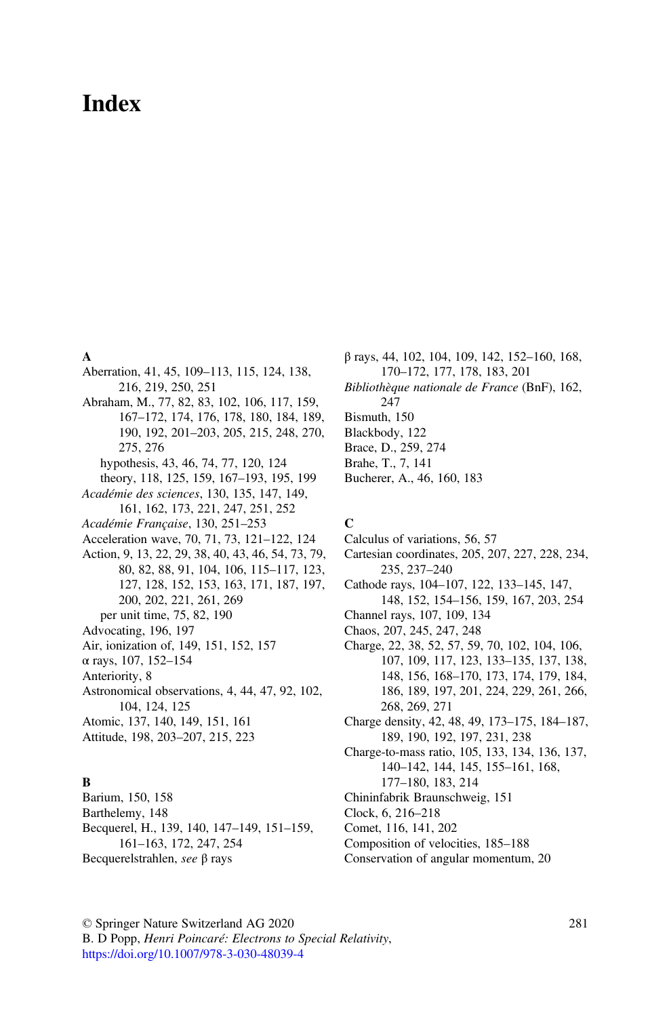# Index

## A

Aberration, 41, 45, 109–113, 115, 124, 138, 216, 219, 250, 251 Abraham, M., 77, 82, 83, 102, 106, 117, 159, 167–172, 174, 176, 178, 180, 184, 189, 190, 192, 201–203, 205, 215, 248, 270, 275, 276 hypothesis, 43, 46, 74, 77, 120, 124 theory, 118, 125, 159, 167–193, 195, 199 Académie des sciences, 130, 135, 147, 149, 161, 162, 173, 221, 247, 251, 252 Académie Française, 130, 251–253 Acceleration wave, 70, 71, 73, 121–122, 124 Action, 9, 13, 22, 29, 38, 40, 43, 46, 54, 73, 79, 80, 82, 88, 91, 104, 106, 115–117, 123, 127, 128, 152, 153, 163, 171, 187, 197, 200, 202, 221, 261, 269 per unit time, 75, 82, 190 Advocating, 196, 197 Air, ionization of, 149, 151, 152, 157 α rays, 107, 152–154 Anteriority, 8 Astronomical observations, 4, 44, 47, 92, 102, 104, 124, 125 Atomic, 137, 140, 149, 151, 161 Attitude, 198, 203–207, 215, 223 B Barium, 150, 158

Barthelemy, 148 Becquerel, H., 139, 140, 147–149, 151–159, 161–163, 172, 247, 254 Becquerelstrahlen, see β rays

β rays, 44, 102, 104, 109, 142, 152–160, 168, 170–172, 177, 178, 183, 201 Bibliothèque nationale de France (BnF), 162, 247 Bismuth, 150

- 
- Blackbody, 122
- Brace, D., 259, 274 Brahe, T., 7, 141
- 
- Bucherer, A., 46, 160, 183

#### C

Calculus of variations, 56, 57

Cartesian coordinates, 205, 207, 227, 228, 234, 235, 237–240

- Cathode rays, 104–107, 122, 133–145, 147, 148, 152, 154–156, 159, 167, 203, 254
- Channel rays, 107, 109, 134
- Chaos, 207, 245, 247, 248
- Charge, 22, 38, 52, 57, 59, 70, 102, 104, 106, 107, 109, 117, 123, 133–135, 137, 138, 148, 156, 168–170, 173, 174, 179, 184, 186, 189, 197, 201, 224, 229, 261, 266, 268, 269, 271
- Charge density, 42, 48, 49, 173–175, 184–187, 189, 190, 192, 197, 231, 238
- Charge-to-mass ratio, 105, 133, 134, 136, 137, 140–142, 144, 145, 155–161, 168,
	- 177–180, 183, 214
- Chininfabrik Braunschweig, 151
- Clock, 6, 216–218
- Comet, 116, 141, 202
- Composition of velocities, 185–188
- Conservation of angular momentum, 20

© Springer Nature Switzerland AG 2020 B. D Popp, Henri Poincaré: Electrons to Special Relativity, [https://doi.org/10.1007/978-3-030-48039-4](https://doi.org/10.1007/978-3-030-48039-4#DOI)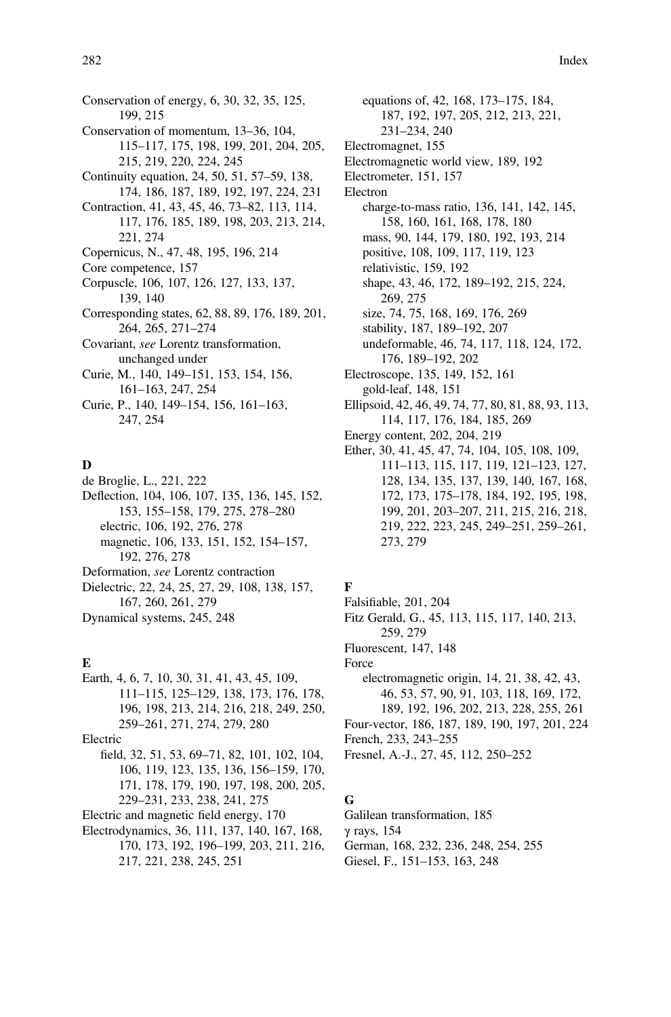282 Index

- Conservation of energy, 6, 30, 32, 35, 125, 199, 215 Conservation of momentum, 13–36, 104, 115–117, 175, 198, 199, 201, 204, 205, 215, 219, 220, 224, 245 Continuity equation, 24, 50, 51, 57–59, 138, 174, 186, 187, 189, 192, 197, 224, 231 Contraction, 41, 43, 45, 46, 73–82, 113, 114, 117, 176, 185, 189, 198, 203, 213, 214, 221, 274 Copernicus, N., 47, 48, 195, 196, 214 Core competence, 157 Corpuscle, 106, 107, 126, 127, 133, 137, 139, 140 Corresponding states, 62, 88, 89, 176, 189, 201, 264, 265, 271–274 Covariant, see Lorentz transformation,
- unchanged under Curie, M., 140, 149–151, 153, 154, 156, 161–163, 247, 254
- Curie, P., 140, 149–154, 156, 161–163, 247, 254

## D

- de Broglie, L., 221, 222
- Deflection, 104, 106, 107, 135, 136, 145, 152, 153, 155–158, 179, 275, 278–280 electric, 106, 192, 276, 278 magnetic, 106, 133, 151, 152, 154–157, 192, 276, 278
- Deformation, see Lorentz contraction
- Dielectric, 22, 24, 25, 27, 29, 108, 138, 157, 167, 260, 261, 279 Dynamical systems, 245, 248

#### E

Earth, 4, 6, 7, 10, 30, 31, 41, 43, 45, 109, 111–115, 125–129, 138, 173, 176, 178, 196, 198, 213, 214, 216, 218, 249, 250, 259–261, 271, 274, 279, 280 Electric field, 32, 51, 53, 69–71, 82, 101, 102, 104, 106, 119, 123, 135, 136, 156–159, 170, 171, 178, 179, 190, 197, 198, 200, 205, 229–231, 233, 238, 241, 275 Electric and magnetic field energy, 170

Electrodynamics, 36, 111, 137, 140, 167, 168, 170, 173, 192, 196–199, 203, 211, 216, 217, 221, 238, 245, 251

equations of, 42, 168, 173–175, 184, 187, 192, 197, 205, 212, 213, 221, 231–234, 240 Electromagnet, 155 Electromagnetic world view, 189, 192 Electrometer, 151, 157 Electron charge-to-mass ratio, 136, 141, 142, 145, 158, 160, 161, 168, 178, 180 mass, 90, 144, 179, 180, 192, 193, 214 positive, 108, 109, 117, 119, 123 relativistic, 159, 192 shape, 43, 46, 172, 189–192, 215, 224, 269, 275 size, 74, 75, 168, 169, 176, 269 stability, 187, 189–192, 207 undeformable, 46, 74, 117, 118, 124, 172, 176, 189–192, 202 Electroscope, 135, 149, 152, 161 gold-leaf, 148, 151 Ellipsoid, 42, 46, 49, 74, 77, 80, 81, 88, 93, 113, 114, 117, 176, 184, 185, 269 Energy content, 202, 204, 219 Ether, 30, 41, 45, 47, 74, 104, 105, 108, 109, 111–113, 115, 117, 119, 121–123, 127, 128, 134, 135, 137, 139, 140, 167, 168, 172, 173, 175–178, 184, 192, 195, 198, 199, 201, 203–207, 211, 215, 216, 218, 219, 222, 223, 245, 249–251, 259–261, 273, 279

## F

- Falsifiable, 201, 204 Fitz Gerald, G., 45, 113, 115, 117, 140, 213, 259, 279 Fluorescent, 147, 148 Force electromagnetic origin, 14, 21, 38, 42, 43, 46, 53, 57, 90, 91, 103, 118, 169, 172, 189, 192, 196, 202, 213, 228, 255, 261 Four-vector, 186, 187, 189, 190, 197, 201, 224
- French, 233, 243–255
- Fresnel, A.-J., 27, 45, 112, 250–252

# G

- Galilean transformation, 185 γ rays, 154 German, 168, 232, 236, 248, 254, 255
- Giesel, F., 151–153, 163, 248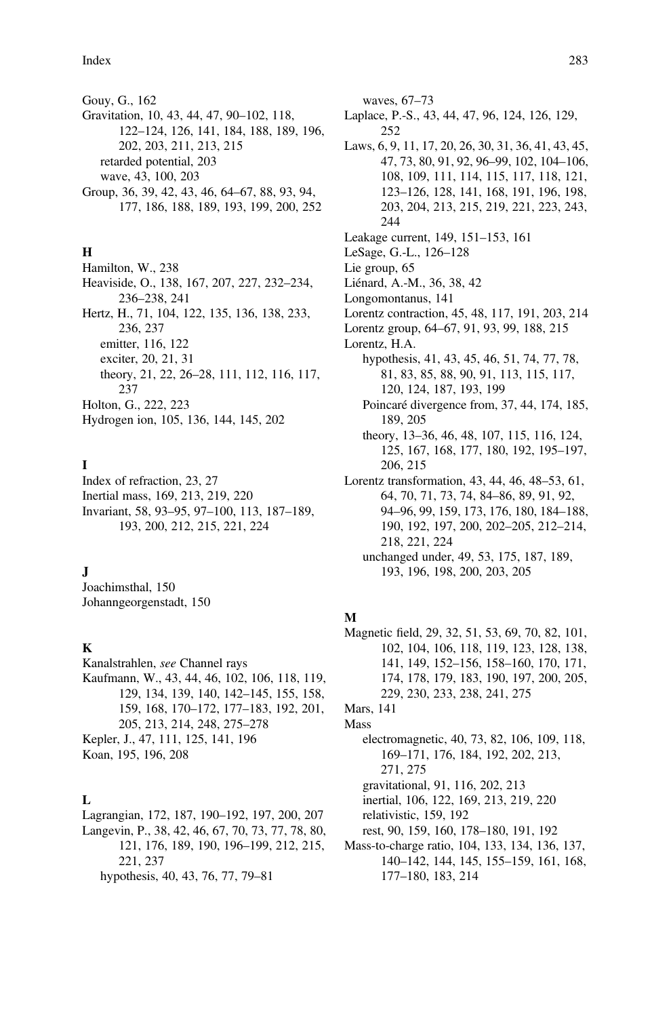Gouy, G., 162 Gravitation, 10, 43, 44, 47, 90–102, 118, 122–124, 126, 141, 184, 188, 189, 196, 202, 203, 211, 213, 215 retarded potential, 203 wave, 43, 100, 203 Group, 36, 39, 42, 43, 46, 64–67, 88, 93, 94, 177, 186, 188, 189, 193, 199, 200, 252

## H

Hamilton, W., 238 Heaviside, O., 138, 167, 207, 227, 232–234, 236–238, 241 Hertz, H., 71, 104, 122, 135, 136, 138, 233, 236, 237 emitter, 116, 122 exciter, 20, 21, 31 theory, 21, 22, 26–28, 111, 112, 116, 117, 237 Holton, G., 222, 223 Hydrogen ion, 105, 136, 144, 145, 202

## I

Index of refraction, 23, 27 Inertial mass, 169, 213, 219, 220 Invariant, 58, 93–95, 97–100, 113, 187–189, 193, 200, 212, 215, 221, 224

#### J

Joachimsthal, 150 Johanngeorgenstadt, 150

#### K

Kanalstrahlen, see Channel rays Kaufmann, W., 43, 44, 46, 102, 106, 118, 119, 129, 134, 139, 140, 142–145, 155, 158, 159, 168, 170–172, 177–183, 192, 201, 205, 213, 214, 248, 275–278 Kepler, J., 47, 111, 125, 141, 196 Koan, 195, 196, 208

#### $L$

Lagrangian, 172, 187, 190–192, 197, 200, 207 Langevin, P., 38, 42, 46, 67, 70, 73, 77, 78, 80, 121, 176, 189, 190, 196–199, 212, 215, 221, 237 hypothesis, 40, 43, 76, 77, 79–81

waves, 67–73 Laplace, P.-S., 43, 44, 47, 96, 124, 126, 129, 252 Laws, 6, 9, 11, 17, 20, 26, 30, 31, 36, 41, 43, 45, 47, 73, 80, 91, 92, 96–99, 102, 104–106, 108, 109, 111, 114, 115, 117, 118, 121, 123–126, 128, 141, 168, 191, 196, 198, 203, 204, 213, 215, 219, 221, 223, 243, 244 Leakage current, 149, 151–153, 161 LeSage, G.-L., 126–128 Lie group, 65 Liénard, A.-M., 36, 38, 42 Longomontanus, 141 Lorentz contraction, 45, 48, 117, 191, 203, 214 Lorentz group, 64–67, 91, 93, 99, 188, 215 Lorentz, H.A. hypothesis, 41, 43, 45, 46, 51, 74, 77, 78, 81, 83, 85, 88, 90, 91, 113, 115, 117, 120, 124, 187, 193, 199 Poincaré divergence from, 37, 44, 174, 185, 189, 205 theory, 13–36, 46, 48, 107, 115, 116, 124, 125, 167, 168, 177, 180, 192, 195–197, 206, 215 Lorentz transformation, 43, 44, 46, 48–53, 61, 64, 70, 71, 73, 74, 84–86, 89, 91, 92, 94–96, 99, 159, 173, 176, 180, 184–188, 190, 192, 197, 200, 202–205, 212–214, 218, 221, 224 unchanged under, 49, 53, 175, 187, 189, 193, 196, 198, 200, 203, 205

#### M

Magnetic field, 29, 32, 51, 53, 69, 70, 82, 101, 102, 104, 106, 118, 119, 123, 128, 138, 141, 149, 152–156, 158–160, 170, 171, 174, 178, 179, 183, 190, 197, 200, 205, 229, 230, 233, 238, 241, 275 Mars, 141

Mass

electromagnetic, 40, 73, 82, 106, 109, 118, 169–171, 176, 184, 192, 202, 213, 271, 275 gravitational, 91, 116, 202, 213 inertial, 106, 122, 169, 213, 219, 220 relativistic, 159, 192 rest, 90, 159, 160, 178–180, 191, 192 Mass-to-charge ratio, 104, 133, 134, 136, 137, 140–142, 144, 145, 155–159, 161, 168, 177–180, 183, 214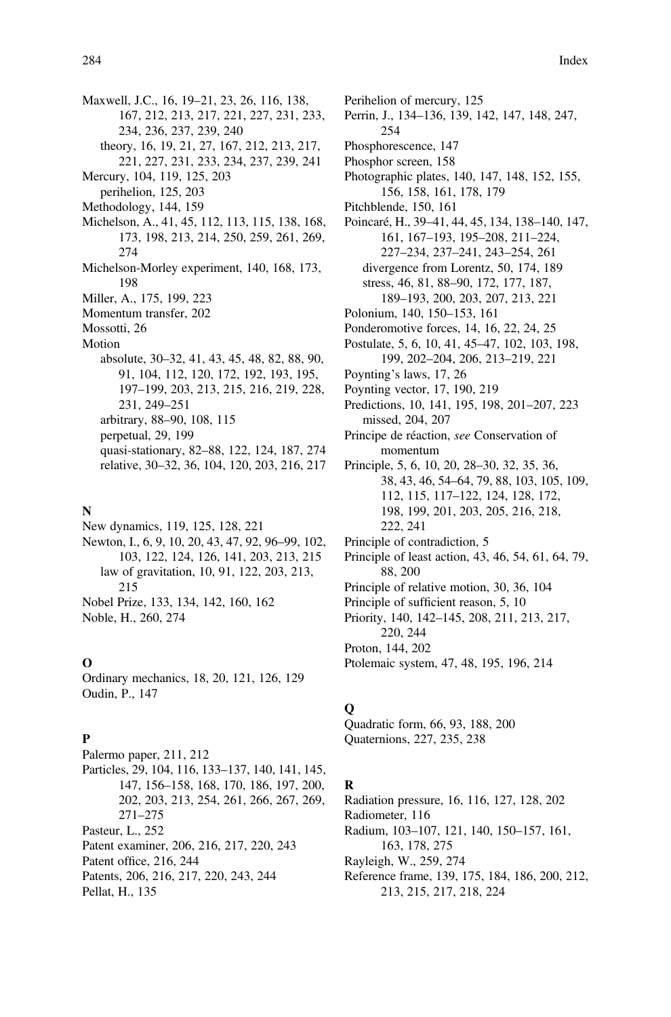Maxwell, J.C., 16, 19–21, 23, 26, 116, 138, 167, 212, 213, 217, 221, 227, 231, 233, 234, 236, 237, 239, 240 theory, 16, 19, 21, 27, 167, 212, 213, 217, 221, 227, 231, 233, 234, 237, 239, 241 Mercury, 104, 119, 125, 203 perihelion, 125, 203 Methodology, 144, 159 Michelson, A., 41, 45, 112, 113, 115, 138, 168, 173, 198, 213, 214, 250, 259, 261, 269, 274 Michelson-Morley experiment, 140, 168, 173, 198 Miller, A., 175, 199, 223 Momentum transfer, 202 Mossotti, 26 Motion absolute, 30–32, 41, 43, 45, 48, 82, 88, 90, 91, 104, 112, 120, 172, 192, 193, 195, 197–199, 203, 213, 215, 216, 219, 228, 231, 249–251 arbitrary, 88–90, 108, 115 perpetual, 29, 199 quasi-stationary, 82–88, 122, 124, 187, 274 relative, 30–32, 36, 104, 120, 203, 216, 217

#### N

New dynamics, 119, 125, 128, 221 Newton, I., 6, 9, 10, 20, 43, 47, 92, 96–99, 102, 103, 122, 124, 126, 141, 203, 213, 215 law of gravitation, 10, 91, 122, 203, 213, 215 Nobel Prize, 133, 134, 142, 160, 162 Noble, H., 260, 274

#### O

Ordinary mechanics, 18, 20, 121, 126, 129 Oudin, P., 147

#### P

Palermo paper, 211, 212 Particles, 29, 104, 116, 133–137, 140, 141, 145, 147, 156–158, 168, 170, 186, 197, 200, 202, 203, 213, 254, 261, 266, 267, 269, 271–275 Pasteur, L., 252 Patent examiner, 206, 216, 217, 220, 243 Patent office, 216, 244 Patents, 206, 216, 217, 220, 243, 244 Pellat, H., 135

Perihelion of mercury, 125 Perrin, J., 134–136, 139, 142, 147, 148, 247, 254 Phosphorescence, 147 Phosphor screen, 158 Photographic plates, 140, 147, 148, 152, 155, 156, 158, 161, 178, 179 Pitchblende, 150, 161 Poincaré, H., 39–41, 44, 45, 134, 138–140, 147, 161, 167–193, 195–208, 211–224, 227–234, 237–241, 243–254, 261 divergence from Lorentz, 50, 174, 189 stress, 46, 81, 88–90, 172, 177, 187, 189–193, 200, 203, 207, 213, 221 Polonium, 140, 150–153, 161 Ponderomotive forces, 14, 16, 22, 24, 25 Postulate, 5, 6, 10, 41, 45–47, 102, 103, 198, 199, 202–204, 206, 213–219, 221 Poynting's laws, 17, 26 Poynting vector, 17, 190, 219 Predictions, 10, 141, 195, 198, 201–207, 223 missed, 204, 207 Principe de réaction, see Conservation of momentum Principle, 5, 6, 10, 20, 28–30, 32, 35, 36, 38, 43, 46, 54–64, 79, 88, 103, 105, 109, 112, 115, 117–122, 124, 128, 172, 198, 199, 201, 203, 205, 216, 218, 222, 241 Principle of contradiction, 5 Principle of least action, 43, 46, 54, 61, 64, 79, 88, 200 Principle of relative motion, 30, 36, 104 Principle of sufficient reason, 5, 10 Priority, 140, 142–145, 208, 211, 213, 217, 220, 244 Proton, 144, 202 Ptolemaic system, 47, 48, 195, 196, 214

# $\Omega$

Quadratic form, 66, 93, 188, 200 Quaternions, 227, 235, 238

#### R

Radiation pressure, 16, 116, 127, 128, 202 Radiometer, 116 Radium, 103–107, 121, 140, 150–157, 161, 163, 178, 275 Rayleigh, W., 259, 274 Reference frame, 139, 175, 184, 186, 200, 212, 213, 215, 217, 218, 224